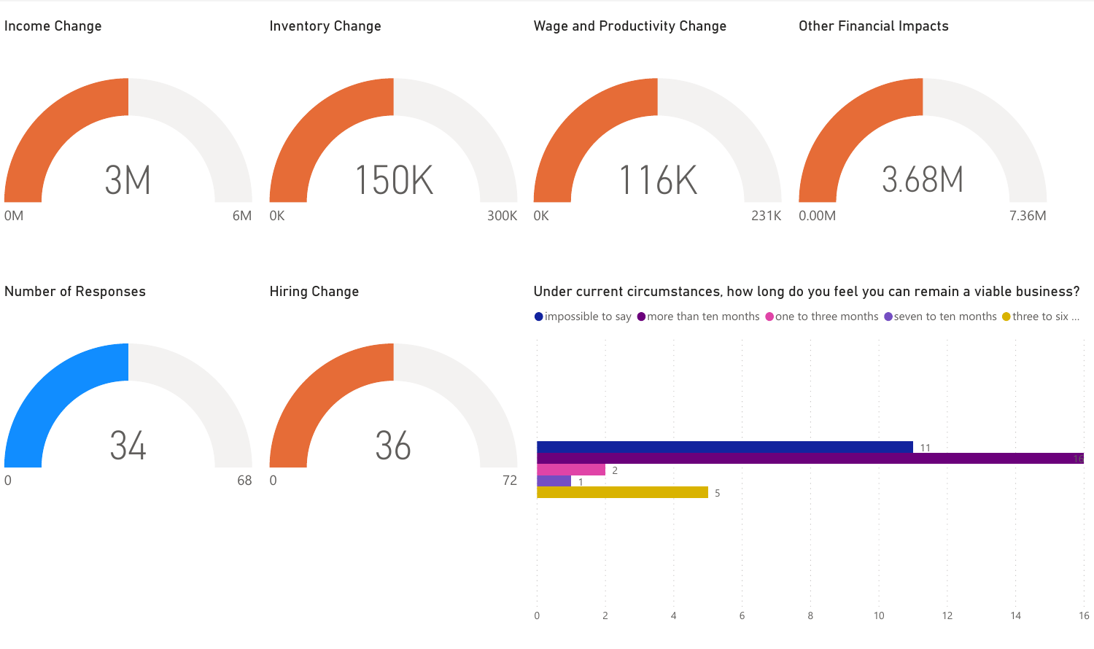